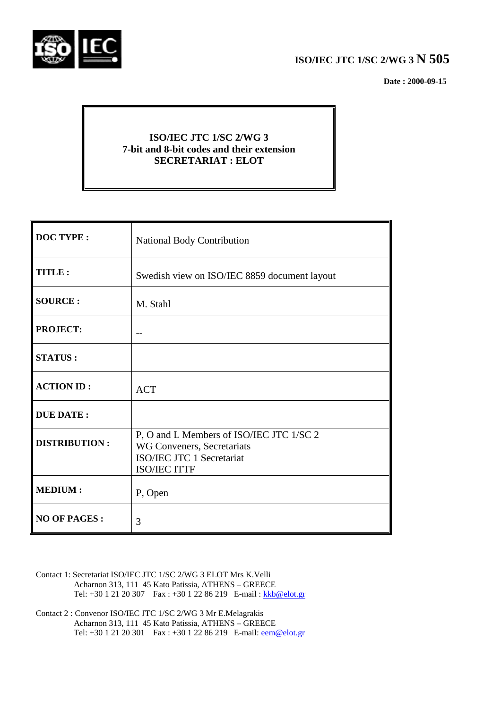

# **ISO/IEC JTC 1/SC 2/WG 3 N 505**

 **Date : 2000-09-15**

## **ISO/IEC JTC 1/SC 2/WG 3 7-bit and 8-bit codes and their extension SECRETARIAT : ELOT**

| <b>DOC TYPE:</b>     | <b>National Body Contribution</b>                                                                                   |  |  |
|----------------------|---------------------------------------------------------------------------------------------------------------------|--|--|
| TITLE:               | Swedish view on ISO/IEC 8859 document layout                                                                        |  |  |
| <b>SOURCE:</b>       | M. Stahl                                                                                                            |  |  |
| <b>PROJECT:</b>      |                                                                                                                     |  |  |
| <b>STATUS:</b>       |                                                                                                                     |  |  |
| <b>ACTION ID:</b>    | <b>ACT</b>                                                                                                          |  |  |
| <b>DUE DATE:</b>     |                                                                                                                     |  |  |
| <b>DISTRIBUTION:</b> | P, O and L Members of ISO/IEC JTC 1/SC 2<br>WG Conveners, Secretariats<br>ISO/IEC JTC 1 Secretariat<br>ISO/IEC ITTF |  |  |
| <b>MEDIUM:</b>       | P, Open                                                                                                             |  |  |
| <b>NO OF PAGES:</b>  | 3                                                                                                                   |  |  |

- Contact 1: Secretariat ISO/IEC JTC 1/SC 2/WG 3 ELOT Mrs K.Velli Acharnon 313, 111 45 Kato Patissia, ATHENS – GREECE Tel: +30 1 21 20 307 Fax : +30 1 22 86 219 E-mail : kkb@elot.gr
- Contact 2 : Convenor ISO/IEC JTC 1/SC 2/WG 3 Mr E.Melagrakis Acharnon 313, 111 45 Kato Patissia, ATHENS – GREECE Tel: +30 1 21 20 301 Fax : +30 1 22 86 219 E-mail: <u>eem@elot.gr</u>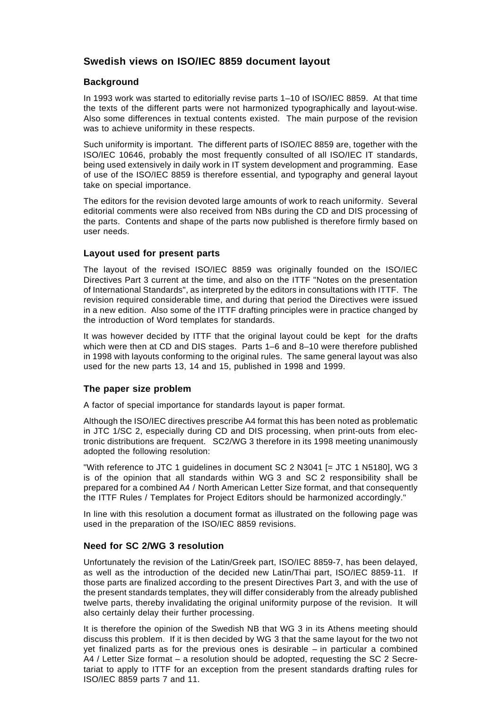### **Swedish views on ISO/IEC 8859 document layout**

#### **Background**

In 1993 work was started to editorially revise parts 1–10 of ISO/IEC 8859. At that time the texts of the different parts were not harmonized typographically and layout-wise. Also some differences in textual contents existed. The main purpose of the revision was to achieve uniformity in these respects.

Such uniformity is important. The different parts of ISO/IEC 8859 are, together with the ISO/IEC 10646, probably the most frequently consulted of all ISO/IEC IT standards, being used extensively in daily work in IT system development and programming. Ease of use of the ISO/IEC 8859 is therefore essential, and typography and general layout take on special importance.

The editors for the revision devoted large amounts of work to reach uniformity. Several editorial comments were also received from NBs during the CD and DIS processing of the parts. Contents and shape of the parts now published is therefore firmly based on user needs.

#### **Layout used for present parts**

The layout of the revised ISO/IEC 8859 was originally founded on the ISO/IEC Directives Part 3 current at the time, and also on the ITTF "Notes on the presentation of International Standards", as interpreted by the editors in consultations with ITTF. The revision required considerable time, and during that period the Directives were issued in a new edition. Also some of the ITTF drafting principles were in practice changed by the introduction of Word templates for standards.

It was however decided by ITTF that the original layout could be kept for the drafts which were then at CD and DIS stages. Parts 1–6 and 8–10 were therefore published in 1998 with layouts conforming to the original rules. The same general layout was also used for the new parts 13, 14 and 15, published in 1998 and 1999.

#### **The paper size problem**

A factor of special importance for standards layout is paper format.

Although the ISO/IEC directives prescribe A4 format this has been noted as problematic in JTC 1/SC 2, especially during CD and DIS processing, when print-outs from electronic distributions are frequent. SC2/WG 3 therefore in its 1998 meeting unanimously adopted the following resolution:

"With reference to JTC 1 guidelines in document SC 2 N3041 [= JTC 1 N5180], WG 3 is of the opinion that all standards within WG 3 and SC 2 responsibility shall be prepared for a combined A4 / North American Letter Size format, and that consequently the ITTF Rules / Templates for Project Editors should be harmonized accordingly."

In line with this resolution a document format as illustrated on the following page was used in the preparation of the ISO/IEC 8859 revisions.

#### **Need for SC 2/WG 3 resolution**

Unfortunately the revision of the Latin/Greek part, ISO/IEC 8859-7, has been delayed, as well as the introduction of the decided new Latin/Thai part, ISO/IEC 8859-11. If those parts are finalized according to the present Directives Part 3, and with the use of the present standards templates, they will differ considerably from the already published twelve parts, thereby invalidating the original uniformity purpose of the revision. It will also certainly delay their further processing.

It is therefore the opinion of the Swedish NB that WG 3 in its Athens meeting should discuss this problem. If it is then decided by WG 3 that the same layout for the two not yet finalized parts as for the previous ones is desirable – in particular a combined A4 / Letter Size format – a resolution should be adopted, requesting the SC 2 Secretariat to apply to ITTF for an exception from the present standards drafting rules for ISO/IEC 8859 parts 7 and 11.